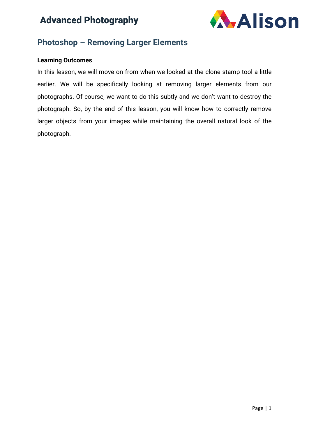

### **Photoshop – Removing Larger Elements**

#### **Learning Outcomes**

In this lesson, we will move on from when we looked at the clone stamp tool a little earlier. We will be specifically looking at removing larger elements from our photographs. Of course, we want to do this subtly and we don't want to destroy the photograph. So, by the end of this lesson, you will know how to correctly remove larger objects from your images while maintaining the overall natural look of the photograph.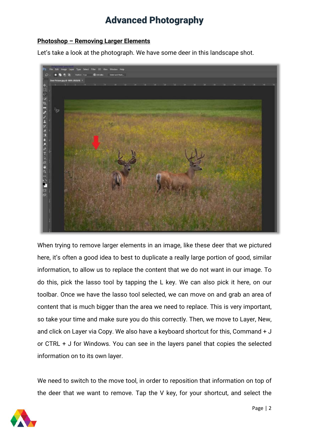### **Photoshop – Removing Larger Elements**

Let's take a look at the photograph. We have some deer in this landscape shot.



When trying to remove larger elements in an image, like these deer that we pictured here, it's often a good idea to best to duplicate a really large portion of good, similar information, to allow us to replace the content that we do not want in our image. To do this, pick the lasso tool by tapping the L key. We can also pick it here, on our toolbar. Once we have the lasso tool selected, we can move on and grab an area of content that is much bigger than the area we need to replace. This is very important, so take your time and make sure you do this correctly. Then, we move to Layer, New, and click on Layer via Copy. We also have a keyboard shortcut for this, Command + J or CTRL + J for Windows. You can see in the layers panel that copies the selected information on to its own layer.

We need to switch to the move tool, in order to reposition that information on top of the deer that we want to remove. Tap the V key, for your shortcut, and select the

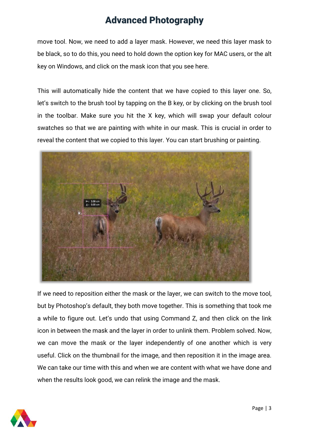move tool. Now, we need to add a layer mask. However, we need this layer mask to be black, so to do this, you need to hold down the option key for MAC users, or the alt key on Windows, and click on the mask icon that you see here.

This will automatically hide the content that we have copied to this layer one. So, let's switch to the brush tool by tapping on the B key, or by clicking on the brush tool in the toolbar. Make sure you hit the X key, which will swap your default colour swatches so that we are painting with white in our mask. This is crucial in order to reveal the content that we copied to this layer. You can start brushing or painting.



If we need to reposition either the mask or the layer, we can switch to the move tool, but by Photoshop's default, they both move together. This is something that took me a while to figure out. Let's undo that using Command Z, and then click on the link icon in between the mask and the layer in order to unlink them. Problem solved. Now, we can move the mask or the layer independently of one another which is very useful. Click on the thumbnail for the image, and then reposition it in the image area. We can take our time with this and when we are content with what we have done and when the results look good, we can relink the image and the mask.